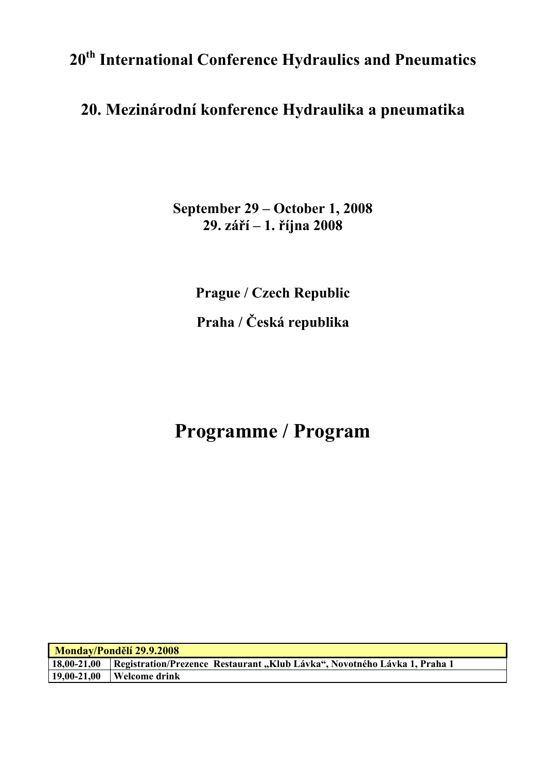## **20th International Conference Hydraulics and Pneumatics**

## **20. Mezinárodní konference Hydraulika a pneumatika**

**September 29 – October 1, 2008 29. září – 1. října 2008** 

> **Prague / Czech Republic Praha / Česká republika**

## **Programme / Program**

| Monday/Pondělí 29.9.2008 |                                                                                       |  |
|--------------------------|---------------------------------------------------------------------------------------|--|
|                          | 18,00-21,00 Registration/Prezence Restaurant, Klub Lávka", Novotného Lávka 1, Praha 1 |  |
|                          | $19,00-21,00$ Welcome drink                                                           |  |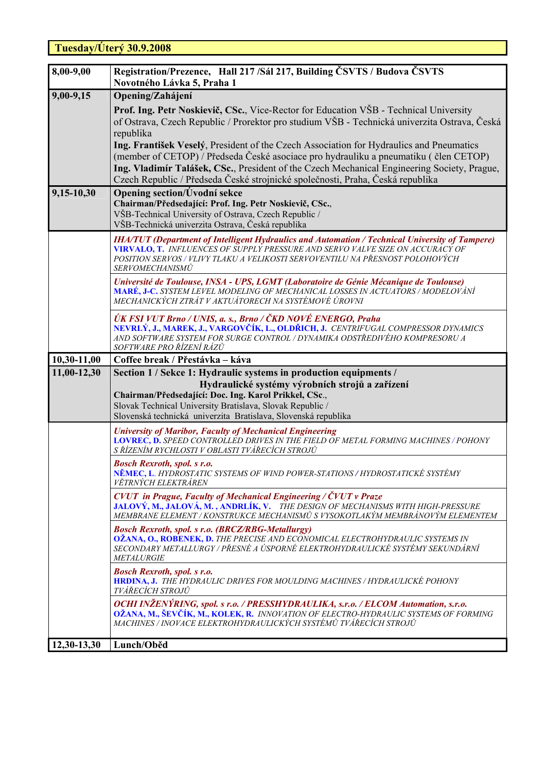| Tuesday/Úterý 30.9.2008 |                                                                                                                                                                                                                                                                                                                                                                                                                                                                                                                                                                                            |  |
|-------------------------|--------------------------------------------------------------------------------------------------------------------------------------------------------------------------------------------------------------------------------------------------------------------------------------------------------------------------------------------------------------------------------------------------------------------------------------------------------------------------------------------------------------------------------------------------------------------------------------------|--|
| 8,00-9,00               | Registration/Prezence, Hall 217/Sál 217, Building ČSVTS / Budova ČSVTS<br>Novotného Lávka 5, Praha 1                                                                                                                                                                                                                                                                                                                                                                                                                                                                                       |  |
| 9,00-9,15               | Opening/Zahájení<br>Prof. Ing. Petr Noskievič, CSc., Vice-Rector for Education VŠB - Technical University<br>of Ostrava, Czech Republic / Prorektor pro studium VŠB - Technická univerzita Ostrava, Česká<br>republika<br>Ing. František Veselý, President of the Czech Association for Hydraulics and Pneumatics<br>(member of CETOP) / Předseda České asociace pro hydrauliku a pneumatiku (člen CETOP)<br>Ing. Vladimír Talášek, CSc., President of the Czech Mechanical Engineering Society, Prague,<br>Czech Republic / Předseda České strojnické společnosti, Praha, Česká republika |  |
| 9,15-10,30              | Opening section/Uvodní sekce<br>Chairman/Předsedající: Prof. Ing. Petr Noskievič, CSc.,<br>VŠB-Technical University of Ostrava, Czech Republic /<br>VŠB-Technická univerzita Ostrava, Česká republika                                                                                                                                                                                                                                                                                                                                                                                      |  |
|                         | <b>IHA/TUT (Department of Intelligent Hydraulics and Automation / Technical University of Tampere)</b><br>VIRVALO, T. INFLUENCES OF SUPPLY PRESSURE AND SERVO VALVE SIZE ON ACCURACY OF<br>POSITION SERVOS / VLIVY TLAKU A VELIKOSTI SERVOVENTILU NA PŘESNOST POLOHOVÝCH<br><i>SERVOMECHANISMŬ</i>                                                                                                                                                                                                                                                                                         |  |
|                         | Université de Toulouse, INSA - UPS, LGMT (Laboratoire de Génie Mécanique de Toulouse)<br><b>MARÉ, J-C. SYSTEM LEVEL MODELING OF MECHANICAL LOSSES IN ACTUATORS / MODELOVÁNÍ</b><br>MECHANICKÝCH ZTRÁT V AKTUÁTORECH NA SYSTÉMOVÉ ÚROVNI                                                                                                                                                                                                                                                                                                                                                    |  |
|                         | ÚK FSI VUT Brno / UNIS, a. s., Brno / ČKD NOVÉ ENERGO, Praha<br>NEVRLÝ, J., MAREK, J., VARGOVČÍK, L., OLDŘICH, J. CENTRIFUGAL COMPRESSOR DYNAMICS<br>AND SOFTWARE SYSTEM FOR SURGE CONTROL / DYNAMIKA ODSTŘEDIVÉHO KOMPRESORU A<br>SOFTWARE PRO ŘÍZENÍ RÁZŮ                                                                                                                                                                                                                                                                                                                                |  |
| $10,30-11,00$           | Coffee break / Přestávka – káva                                                                                                                                                                                                                                                                                                                                                                                                                                                                                                                                                            |  |
| 11,00-12,30             | Section 1 / Sekce 1: Hydraulic systems in production equipments /<br>Hydraulické systémy výrobních strojů a zařízení<br>Chairman/Předsedající: Doc. Ing. Karol Prikkel, CSc.,<br>Slovak Technical University Bratislava, Slovak Republic /<br>Slovenská technická univerzita Bratislava, Slovenská republika                                                                                                                                                                                                                                                                               |  |
|                         | <b>University of Maribor, Faculty of Mechanical Engineering</b><br><b>LOVREC, D. SPEED CONTROLLED DRIVES IN THE FIELD OF METAL FORMING MACHINES / POHONY</b><br>S ŘÍZENÍM RYCHLOSTI V OBLASTI TVÁŘECÍCH STROJŮ                                                                                                                                                                                                                                                                                                                                                                             |  |
|                         | <b>Bosch Rexroth, spol. s r.o.</b><br>NĚMEC, L. HYDROSTATIC SYSTEMS OF WIND POWER-STATIONS / HYDROSTATICKÉ SYSTÉMY<br><i>VĚTRNÝCH ELEKTRÁREN</i>                                                                                                                                                                                                                                                                                                                                                                                                                                           |  |
|                         | <b>CVUT</b> in Prague, Faculty of Mechanical Engineering / ČVUT v Praze<br>JALOVÝ, M., JALOVÁ, M., ANDRLÍK, V. THE DESIGN OF MECHANISMS WITH HIGH-PRESSURE<br>MEMBRANE ELEMENT / KONSTRUKCE MECHANISMŮ S VYSOKOTLAKÝM MEMBRÁNOVÝM ELEMENTEM                                                                                                                                                                                                                                                                                                                                                |  |
|                         | <b>Bosch Rexroth, spol. s r.o. (BRCZ/RBG-Metallurgy)</b><br>OŽANA, O., ROBENEK, D. THE PRECISE AND ECONOMICAL ELECTROHYDRAULIC SYSTEMS IN<br>SECONDARY METALLURGY / PŘESNÉ A ÚSPORNÉ ELEKTROHYDRAULICKÉ SYSTÉMY SEKUNDÁRNÍ<br><b>METALURGIE</b>                                                                                                                                                                                                                                                                                                                                            |  |
|                         | <b>Bosch Rexroth, spol. s r.o.</b><br>HRDINA, J. THE HYDRAULIC DRIVES FOR MOULDING MACHINES / HYDRAULICKÉ POHONY<br>TVÁŘECÍCH STROJŮ                                                                                                                                                                                                                                                                                                                                                                                                                                                       |  |
|                         | OCHI INŽENÝRING, spol. s r.o. / PRESSHYDRAULIKA, s.r.o. / ELCOM Automation, s.r.o.<br>OŽANA, M., ŠEVČÍK, M., KOLEK, R. INNOVATION OF ELECTRO-HYDRAULIC SYSTEMS OF FORMING<br>MACHINES / INOVACE ELEKTROHYDRAULICKÝCH SYSTÉMŮ TVÁŘECÍCH STROJŮ                                                                                                                                                                                                                                                                                                                                              |  |
| 12,30-13,30             | Lunch/Oběd                                                                                                                                                                                                                                                                                                                                                                                                                                                                                                                                                                                 |  |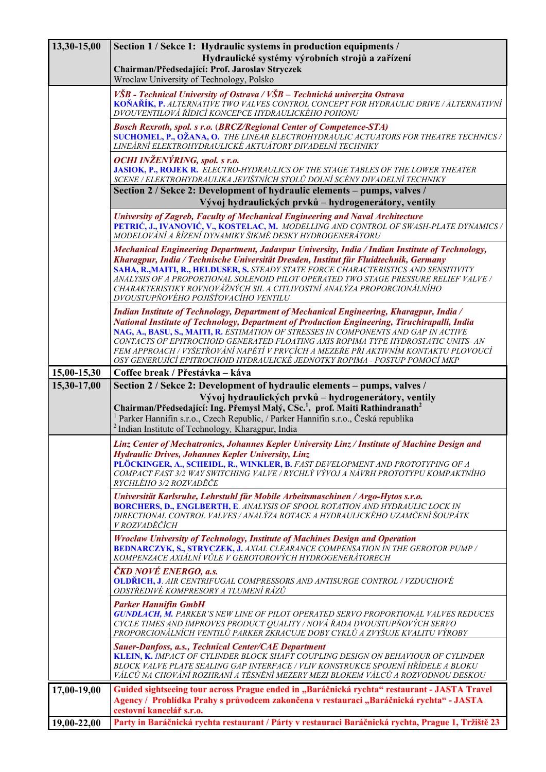| 13,30-15,00   | Section 1 / Sekce 1: Hydraulic systems in production equipments /                                                                                                                                                                                                                                                                                                                                                                                            |
|---------------|--------------------------------------------------------------------------------------------------------------------------------------------------------------------------------------------------------------------------------------------------------------------------------------------------------------------------------------------------------------------------------------------------------------------------------------------------------------|
|               | Hydraulické systémy výrobních strojů a zařízení<br>Chairman/Předsedající: Prof. Jaroslav Stryczek                                                                                                                                                                                                                                                                                                                                                            |
|               | Wroclaw University of Technology, Polsko                                                                                                                                                                                                                                                                                                                                                                                                                     |
|               | VŠB - Technical University of Ostrava / VŠB – Technická univerzita Ostrava                                                                                                                                                                                                                                                                                                                                                                                   |
|               | KOŇAŘÍK, P. ALTERNATIVE TWO VALVES CONTROL CONCEPT FOR HYDRAULIC DRIVE / ALTERNATIVNÍ<br>DVOUVENTILOVÁ ŘÍDICÍ KONCEPCE HYDRAULICKÉHO POHONU                                                                                                                                                                                                                                                                                                                  |
|               | <b>Bosch Rexroth, spol. s r.o. (BRCZ/Regional Center of Competence-STA)</b><br>SUCHOMEL, P., OŽANA, O. THE LINEAR ELECTROHYDRAULIC ACTUATORS FOR THEATRE TECHNICS /<br>LINEÁRNÍ ELEKTROHYDRAULICKÉ AKTUÁTORY DIVADELNÍ TECHNIKY                                                                                                                                                                                                                              |
|               | OCHI INŽENÝRING, spol. s r.o.<br>JASIOK, P., ROJEK R. ELECTRO-HYDRAULICS OF THE STAGE TABLES OF THE LOWER THEATER<br>SCENE / ELEKTROHYDRAULIKA JEVIŠTNÍCH STOLŮ DOLNÍ SCÉNY DIVADELNÍ TECHNIKY                                                                                                                                                                                                                                                               |
|               | Section 2 / Sekce 2: Development of hydraulic elements - pumps, valves /                                                                                                                                                                                                                                                                                                                                                                                     |
|               | Vývoj hydraulických prvků – hydrogenerátory, ventily                                                                                                                                                                                                                                                                                                                                                                                                         |
|               | University of Zagreb, Faculty of Mechanical Engineering and Naval Architecture<br>PETRIĆ, J., IVANOVIĆ, V., KOSTELAC, M. MODELLING AND CONTROL OF SWASH-PLATE DYNAMICS/<br>MODELOVÁNÍ A ŘÍZENÍ DYNAMIKY ŠIKMÉ DESKY HYDROGENERÁTORU                                                                                                                                                                                                                          |
|               | Mechanical Engineering Department, Jadavpur University, India / Indian Institute of Technology,<br>Kharagpur, India / Technische Universität Dresden, Institut für Fluidtechnik, Germany<br>SAHA, R., MAITI, R., HELDUSER, S. STEADY STATE FORCE CHARACTERISTICS AND SENSITIVITY<br>ANALYSIS OF A PROPORTIONAL SOLENOID PILOT OPERATED TWO STAGE PRESSURE RELIEF VALVE /                                                                                     |
|               | CHARAKTERISTIKY ROVNOVÁŽNÝCH SIL A CITLIVOSTNÍ ANALÝZA PROPORCIONÁLNÍHO<br>DVOUSTUPŇOVÉHO POJIŠŤOVACÍHO VENTILU                                                                                                                                                                                                                                                                                                                                              |
|               | Indian Institute of Technology, Department of Mechanical Engineering, Kharagpur, India /<br>National Institute of Technology, Department of Production Engineering, Tiruchirapalli, India<br>NAG, A., BASU, S., MAITI, R. ESTIMATION OF STRESSES IN COMPONENTS AND GAP IN ACTIVE<br>CONTACTS OF EPITROCHOID GENERATED FLOATING AXIS ROPIMA TYPE HYDROSTATIC UNITS- AN<br>FEM APPROACH / VYŠETŘOVÁNÍ NAPĚTÍ V PRVCÍCH A MEZEŘE PŘI AKTIVNÍM KONTAKTU PLOVOUCÍ |
|               | OSY GENERUJÍCÍ EPITROCHOID HYDRAULICKÉ JEDNOTKY ROPIMA - POSTUP POMOCÍ MKP                                                                                                                                                                                                                                                                                                                                                                                   |
| 15,00-15,30   | Coffee break / Přestávka – káva                                                                                                                                                                                                                                                                                                                                                                                                                              |
| 15,30-17,00   | Section 2 / Sekce 2: Development of hydraulic elements – pumps, valves /                                                                                                                                                                                                                                                                                                                                                                                     |
|               | Vývoj hydraulických prvků – hydrogenerátory, ventily<br>Chairman/Předsedající: Ing. Přemysl Malý, CSc. <sup>1</sup> , prof. Maiti Rathindranath <sup>2</sup><br><sup>1</sup> Parker Hannifin s.r.o., Czech Republic, / Parker Hannifin s.r.o., Česká republika<br><sup>2</sup> Indian Institute of Technology, Kharagpur, India                                                                                                                              |
|               | Linz Center of Mechatronics, Johannes Kepler University Linz / Institute of Machine Design and                                                                                                                                                                                                                                                                                                                                                               |
|               | Hydraulic Drives, Johannes Kepler University, Linz<br>PLÖCKINGER, A., SCHEIDL, R., WINKLER, B. FAST DEVELOPMENT AND PROTOTYPING OF A<br>COMPACT FAST 3/2 WAY SWITCHING VALVE / RYCHLÝ VÝVOJ A NÁVRH PROTOTYPU KOMPAKTNÍHO                                                                                                                                                                                                                                    |
|               | RYCHLÉHO 3/2 ROZVADĚČE                                                                                                                                                                                                                                                                                                                                                                                                                                       |
|               | Universität Karlsruhe, Lehrstuhl für Mobile Arbeitsmaschinen / Argo-Hytos s.r.o.<br><b>BORCHERS, D., ENGLBERTH, E. ANALYSIS OF SPOOL ROTATION AND HYDRAULIC LOCK IN</b><br>DIRECTIONAL CONTROL VALVES / ANALÝZA ROTACE A HYDRAULICKÉHO UZAMČENÍ ŠOUPÁTK<br><i>V ROZVADĚČÍCH</i>                                                                                                                                                                              |
|               | <b>Wroclaw University of Technology, Institute of Machines Design and Operation</b><br><b>BEDNARCZYK, S., STRYCZEK, J. AXIAL CLEARANCE COMPENSATION IN THE GEROTOR PUMP /</b><br>KOMPENZACE AXIÁLNÍ VŮLE V GEROTOROVÝCH HYDROGENERÁTORECH                                                                                                                                                                                                                    |
|               | ČKD NOVÉ ENERGO, a.s.<br>OLDŘICH, J. AIR CENTRIFUGAL COMPRESSORS AND ANTISURGE CONTROL / VZDUCHOVÉ<br>ODSTŘEDIVÉ KOMPRESORY A TLUMENÍ RÁZŮ                                                                                                                                                                                                                                                                                                                   |
|               | <b>Parker Hannifin GmbH</b><br><b>GUNDLACH, M. PARKER'S NEW LINE OF PILOT OPERATED SERVO PROPORTIONAL VALVES REDUCES</b><br>CYCLE TIMES AND IMPROVES PRODUCT QUALITY / NOVÁ ŘADA DVOUSTUPŇOVÝCH SERVO<br>PROPORCIONÁLNÍCH VENTILŮ PARKER ZKRACUJE DOBY CYKLŮ A ZVYŠUJE KVALITU VÝROBY                                                                                                                                                                        |
|               | Sauer-Danfoss, a.s., Technical Center/CAE Department<br>KLEIN, K. IMPACT OF CYLINDER BLOCK SHAFT COUPLING DESIGN ON BEHAVIOUR OF CYLINDER<br>BLOCK VALVE PLATE SEALING GAP INTERFACE / VLIV KONSTRUKCE SPOJENÍ HŘÍDELE A BLOKU<br>VÁLCŮ NA CHOVÁNÍ ROZHRANÍ A TĚSNĚNÍ MEZERY MEZI BLOKEM VÁLCŮ A ROZVODNOU DESKOU                                                                                                                                            |
| $17,00-19,00$ | Guided sightseeing tour across Prague ended in "Baráčnická rychta" restaurant - JASTA Travel<br>Agency / Prohlídka Prahy s průvodcem zakončena v restauraci "Baráčnická rychta" - JASTA<br>cestovní kancelář s.r.o.                                                                                                                                                                                                                                          |
| 19,00-22,00   | Party in Baráčnická rychta restaurant / Párty v restauraci Baráčnická rychta, Prague 1, Tržiště 23                                                                                                                                                                                                                                                                                                                                                           |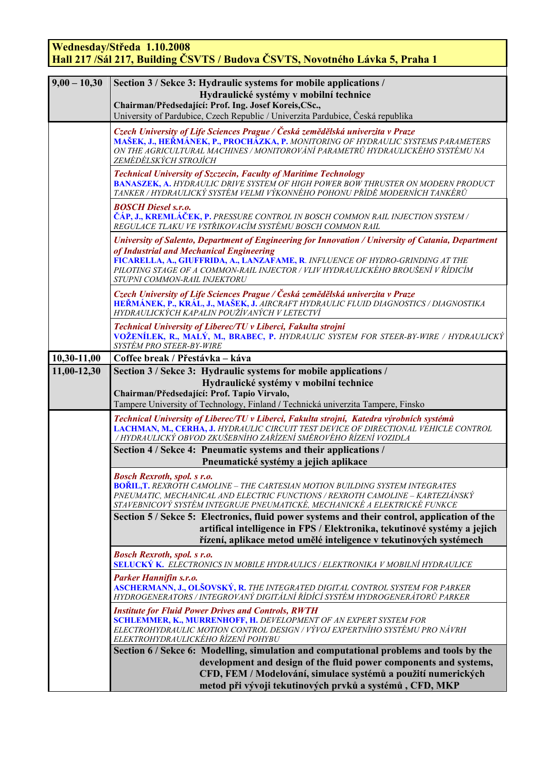## **Wednesday/Středa 1.10.2008 Hall 217 /Sál 217, Building ČSVTS / Budova ČSVTS, Novotného Lávka 5, Praha 1**

| $9,00 - 10,30$ | Section 3 / Sekce 3: Hydraulic systems for mobile applications /                                                                                                   |
|----------------|--------------------------------------------------------------------------------------------------------------------------------------------------------------------|
|                | Hydraulické systémy v mobilní technice                                                                                                                             |
|                | Chairman/Předsedající: Prof. Ing. Josef Koreis, CSc.,                                                                                                              |
|                | University of Pardubice, Czech Republic / Univerzita Pardubice, Česká republika                                                                                    |
|                | Czech University of Life Sciences Prague / Česká zemědělská univerzita v Praze                                                                                     |
|                | <b>MAŠEK, J., HEŘMÁNEK, P., PROCHÁZKA, P. MONITORING OF HYDRAULIC SYSTEMS PARAMETERS</b>                                                                           |
|                | ON THE AGRICULTURAL MACHINES / MONITOROVÁNÍ PARAMETRŮ HYDRAULICKÉHO SYSTÉMU NA<br>ZEMÉDÉLSKÝCH STROJÍCH                                                            |
|                |                                                                                                                                                                    |
|                | <b>Technical University of Szczecin, Faculty of Maritime Technology</b><br>BANASZEK, A. HYDRÁULIC DRIVE SYSTEM OF HIGH POWER BOW THRUSTER ON MODERN PRODUCT        |
|                | TANKER / HYDRAULICKÝ SYSTÉM VELMI VÝKONNÉHO POHONU PŘÍDĚ MODERNÍCH TANKÉRŮ                                                                                         |
|                | <b>BOSCH Diesel s.r.o.</b>                                                                                                                                         |
|                | ČÁP, J., KREMLÁČEK, P. PRESSURE CONTROL IN BOSCH COMMON RAIL INJECTION SYSTEM /                                                                                    |
|                | REGULACE TLAKU VE VSTŘIKOVACÍM SYSTÉMU BOSCH COMMON RAIL                                                                                                           |
|                | University of Salento, Department of Engineering for Innovation / University of Catania, Department                                                                |
|                | of Industrial and Mechanical Engineering                                                                                                                           |
|                | FICARELLA, A., GIUFFRIDA, A., LANZAFAME, R. INFLUENCE OF HYDRO-GRINDING AT THE<br>PILOTING STAGE OF A COMMON-RAIL INJECTOR / VLIV HYDRAULICKÉHO BROUŠENÍ V ŘÍDICÍM |
|                | STUPNI COMMON-RAIL INJEKTORU                                                                                                                                       |
|                | Czech University of Life Sciences Prague / Česká zemědělská univerzita v Praze                                                                                     |
|                | HEŘMÁNEK, P., KRÁL, J., MAŠEK, J. AIRCRAFT HYDRAULIC FLUID DIAGNOSTICS / DIAGNOSTIKA                                                                               |
|                | HYDRAULICKÝCH KAPALIN POUŽÍVANÝCH V LETECTVÍ                                                                                                                       |
|                | Technical University of Liberec/TU v Liberci, Fakulta strojní                                                                                                      |
|                | VOŽENÍLEK, R., MALÝ, M., BRABEC, P. HYDRAULIC SYSTEM FOR STEER-BY-WIRE / HYDRAULICKÝ                                                                               |
|                | SYSTÉM PRO STEER-BY-WIRE                                                                                                                                           |
| 10,30-11,00    | Coffee break / Přestávka – káva                                                                                                                                    |
| 11,00-12,30    | Section 3 / Sekce 3: Hydraulic systems for mobile applications /<br>Hydraulické systémy v mobilní technice                                                         |
|                | Chairman/Předsedající: Prof. Tapio Virvalo,                                                                                                                        |
|                | Tampere University of Technology, Finland / Technická univerzita Tampere, Finsko                                                                                   |
|                | Technical University of Liberec/TU v Liberci, Fakulta strojní, Katedra výrobních systémů                                                                           |
|                | LACHMAN, M., CERHA, J. HYDRAULIC CIRCUIT TEST DEVICE OF DIRECTIONAL VEHICLE CONTROL                                                                                |
|                | / HYDRAULICKÝ OBVOD ZKUŠEBNÍHO ZAŘÍZENÍ SMĚROVÉHO ŘÍZENÍ VOZIDLA                                                                                                   |
|                | Section 4 / Sekce 4: Pneumatic systems and their applications /                                                                                                    |
|                | Pneumatické systémy a jejich aplikace                                                                                                                              |
|                | <b>Bosch Rexroth, spol. s r.o.</b>                                                                                                                                 |
|                | <b>BOŘIL, T.</b> REXROTH CAMOLINE – THE CARTESIAN MOTION BUILDING SYSTEM INTEGRATES                                                                                |
|                | PNEUMATIC, MECHANICAL AND ELECTRIC FUNCTIONS / REXROTH CAMOLINE - KARTEZIÁNSKÝ<br>STAVEBNICOVÝ SYSTÉM INTEGRUJE PNEUMATICKÉ, MECHANICKÉ A ELEKTRICKÉ FUNKCE        |
|                | Section 5 / Sekce 5: Electronics, fluid power systems and their control, application of the                                                                        |
|                | artifical intelligence in FPS / Elektronika, tekutinové systémy a jejich                                                                                           |
|                | řízení, aplikace metod umělé inteligence v tekutinových systémech                                                                                                  |
|                | <b>Bosch Rexroth, spol. s r.o.</b>                                                                                                                                 |
|                | <b>SELUCKÝ K. ELECTRONICS IN MOBILE HYDRAULICS / ELEKTRONIKA V MOBILNÍ HYDRAULICE</b>                                                                              |
|                | Parker Hannifin s.r.o.                                                                                                                                             |
|                | ASCHERMANN, J., OLŠOVSKÝ, R. THE INTEGRATED DIGITAL CONTROL SYSTEM FOR PARKER<br>HYDROGENERATORS / INTEGROVANÝ DIGITÁLNÍ ŘÍDÍCÍ SYSTÉM HYDROGENERÁTORŮ PARKER      |
|                |                                                                                                                                                                    |
|                | <b>Institute for Fluid Power Drives and Controls, RWTH</b><br><b>SCHLEMMER, K., MURRENHOFF, H. DEVELOPMENT OF AN EXPERT SYSTEM FOR</b>                             |
|                | ELECTROHYDRAULIC MOTION CONTROL DESIGN / VÝVOJ EXPERTNÍHO SYSTÉMU PRO NÁVRH                                                                                        |
|                | ELEKTROHYDRAULICKÉHO ŘÍZENÍ POHYBU                                                                                                                                 |
|                | Section 6 / Sekce 6: Modelling, simulation and computational problems and tools by the                                                                             |
|                | development and design of the fluid power components and systems,                                                                                                  |
|                | CFD, FEM / Modelování, simulace systémů a použití numerických                                                                                                      |
|                | metod při vývoji tekutinových prvků a systémů, CFD, MKP                                                                                                            |